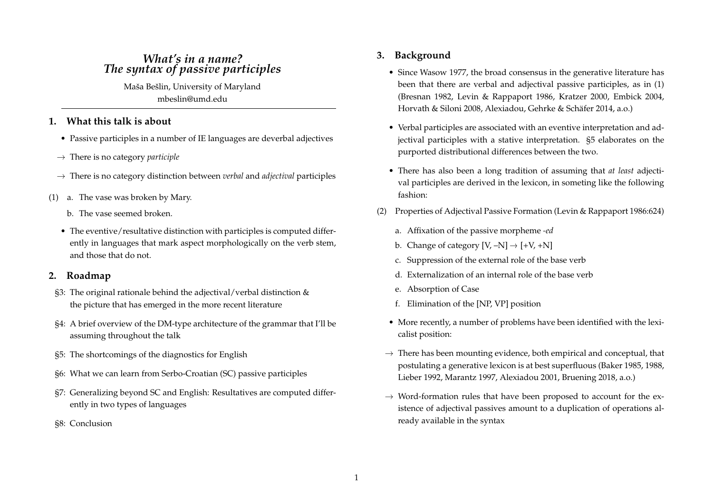# *What's in a name? The syntax of passive participles*

Maša Bešlin, University of Maryland mbeslin@umd.edu

# **1. What this talk is about**

- Passive participles in a number of IE languages are deverbal adjectives
- $\rightarrow$  There is no category *participle*
- $\rightarrow$  There is no category distinction between *verbal* and *adjectival* participles
- (1) a. The vase was broken by Mary.
	- b. The vase seemed broken.
	- The eventive/resultative distinction with participles is computed differently in languages that mark aspect morphologically on the verb stem, and those that do not.

# **2. Roadmap**

- §3: The original rationale behind the adjectival/verbal distinction & the picture that has emerged in the more recent literature
- §4: A brief overview of the DM-type architecture of the grammar that I'll be assuming throughout the talk
- §5: The shortcomings of the diagnostics for English
- §6: What we can learn from Serbo-Croatian (SC) passive participles
- §7: Generalizing beyond SC and English: Resultatives are computed differently in two types of languages
- §8: Conclusion

# **3. Background**

- Since Wasow 1977, the broad consensus in the generative literature has been that there are verbal and adjectival passive participles, as in (1) (Bresnan 1982, Levin & Rappaport 1986, Kratzer 2000, Embick 2004, Horvath & Siloni 2008, Alexiadou, Gehrke & Schäfer 2014, a.o.)
- Verbal participles are associated with an eventive interpretation and adjectival participles with a stative interpretation. §5 elaborates on the purported distributional differences between the two.
- There has also been a long tradition of assuming that *at least* adjectival participles are derived in the lexicon, in someting like the following fashion:
- (2) Properties of Adjectival Passive Formation (Levin & Rappaport 1986:624)
	- a. Affixation of the passive morpheme *-ed*
	- b. Change of category  $[V, -N] \rightarrow [+V, +N]$
	- c. Suppression of the external role of the base verb
	- d. Externalization of an internal role of the base verb
	- e. Absorption of Case
	- f. Elimination of the [NP, VP] position
	- More recently, a number of problems have been identified with the lexicalist position:
	- $\rightarrow$  There has been mounting evidence, both empirical and conceptual, that postulating a generative lexicon is at best superfluous (Baker 1985, 1988, Lieber 1992, Marantz 1997, Alexiadou 2001, Bruening 2018, a.o.)
	- $\rightarrow$  Word-formation rules that have been proposed to account for the existence of adjectival passives amount to a duplication of operations already available in the syntax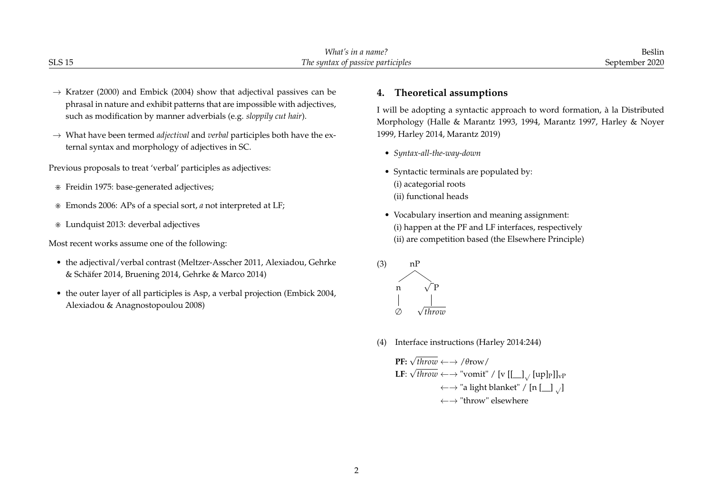|               | TATL<br>: name:<br>,,,,,<br>$\cdots$      | Beslin             |
|---------------|-------------------------------------------|--------------------|
| <b>SLS 15</b> | e syntax of passive participles :<br>. ne | .september.<br>ハワハ |

- $\rightarrow$  Kratzer (2000) and Embick (2004) show that adjectival passives can be phrasal in nature and exhibit patterns that are impossible with adjectives, such as modification by manner adverbials (e.g. *sloppily cut hair*).
- $\rightarrow$  What have been termed *adjectival* and *verbal* participles both have the external syntax and morphology of adjectives in SC.

Previous proposals to treat 'verbal' participles as adjectives:

- > Freidin 1975: base-generated adjectives;
- > Emonds 2006: APs of a special sort, *a* not interpreted at LF;
- > Lundquist 2013: deverbal adjectives

Most recent works assume one of the following:

- the adjectival/verbal contrast (Meltzer-Asscher 2011, Alexiadou, Gehrke & Schäfer 2014, Bruening 2014, Gehrke & Marco 2014)
- the outer layer of all participles is Asp, a verbal projection (Embick 2004, Alexiadou & Anagnostopoulou 2008)

# **4. Theoretical assumptions**

I will be adopting a syntactic approach to word formation, à la Distributed Morphology (Halle & Marantz 1993, 1994, Marantz 1997, Harley & Noyer 1999, Harley 2014, Marantz 2019)

- *Syntax-all-the-way-down*
- Syntactic terminals are populated by: (i) acategorial roots (ii) functional heads
- Vocabulary insertion and meaning assignment: (i) happen at the PF and LF interfaces, respectively (ii) are competition based (the Elsewhere Principle)



(4) Interface instructions (Harley 2014:244)

**PF:** 
$$
\sqrt{throw} \leftarrow \rightarrow / \theta \text{row} /
$$

\n**LF:**  $\sqrt{throw} \leftarrow \rightarrow \text{"vomit"} / [v [[] ]_{\sqrt{}$  [up]<sub>P</sub>]]<sub>νP</sub>

\n $\leftarrow \rightarrow \text{"a light blanket"} / [n [[] ]_{\sqrt{}}$ 

\n $\leftarrow \rightarrow \text{"throw"} \text{ elsewhere}$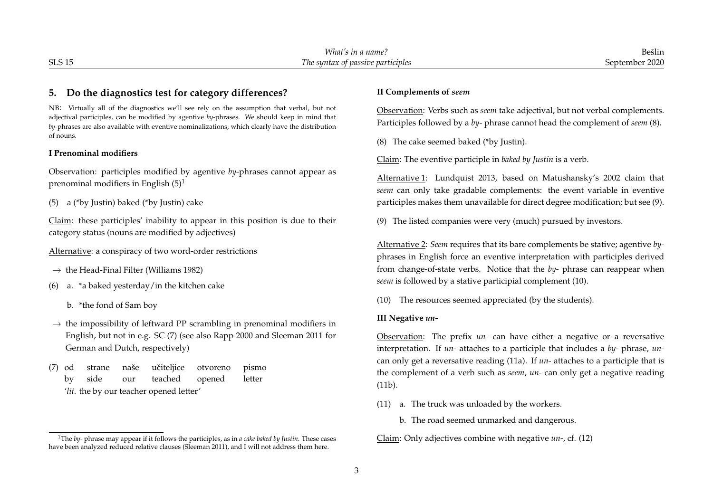|               | .177<br>! name<br>.<br>ruu<br>,,,,      | Beslin                            |
|---------------|-----------------------------------------|-----------------------------------|
| <b>SLS 15</b> | syntax of passive participles '<br>1 he | $\sim$ $\sim$ $\sim$<br>-entember |

## **5. Do the diagnostics test for category differences?**

NB: Virtually all of the diagnostics we'll see rely on the assumption that verbal, but not adjectival participles, can be modified by agentive *by-*phrases. We should keep in mind that *by*-phrases are also available with eventive nominalizations, which clearly have the distribution of nouns.

#### **I Prenominal modifiers**

Observation: participles modified by agentive *by*-phrases cannot appear as prenominal modifiers in English  $(5)^1$ 

(5) a (\*by Justin) baked (\*by Justin) cake

Claim: these participles' inability to appear in this position is due to their category status (nouns are modified by adjectives)

Alternative: a conspiracy of two word-order restrictions

- $\rightarrow$  the Head-Final Filter (Williams 1982)
- (6) a. \*a baked yesterday/in the kitchen cake
	- b. \*the fond of Sam boy
- $\rightarrow$  the impossibility of leftward PP scrambling in prenominal modifiers in English, but not in e.g. SC (7) (see also Rapp 2000 and Sleeman 2011 for German and Dutch, respectively)
- (7) od by strane side naše our učiteliice teached otvoreno opened pismo letter '*lit*. the by our teacher opened letter'

#### **II Complements of** *seem*

Observation: Verbs such as *seem* take adjectival, but not verbal complements. Participles followed by a *by-* phrase cannot head the complement of *seem* (8).

(8) The cake seemed baked (\*by Justin).

Claim: The eventive participle in *baked by Justin* is a verb.

Alternative 1: Lundquist 2013, based on Matushansky's 2002 claim that *seem* can only take gradable complements: the event variable in eventive participles makes them unavailable for direct degree modification; but see (9).

(9) The listed companies were very (much) pursued by investors.

Alternative 2: *Seem* requires that its bare complements be stative; agentive *by*phrases in English force an eventive interpretation with participles derived from change-of-state verbs. Notice that the *by-* phrase can reappear when *seem* is followed by a stative participial complement (10).

(10) The resources seemed appreciated (by the students).

#### **III Negative** *un-*

Observation: The prefix *un-* can have either a negative or a reversative interpretation. If *un-* attaches to a participle that includes a *by-* phrase, *un*can only get a reversative reading (11a). If *un-* attaches to a participle that is the complement of a verb such as *seem*, *un-* can only get a negative reading (11b).

- (11) a. The truck was unloaded by the workers.
	- b. The road seemed unmarked and dangerous.

Claim: Only adjectives combine with negative *un-*, cf. (12)

<sup>1</sup>The *by-* phrase may appear if it follows the participles, as in *a cake baked by Justin*. These cases have been analyzed reduced relative clauses (Sleeman 2011), and I will not address them here.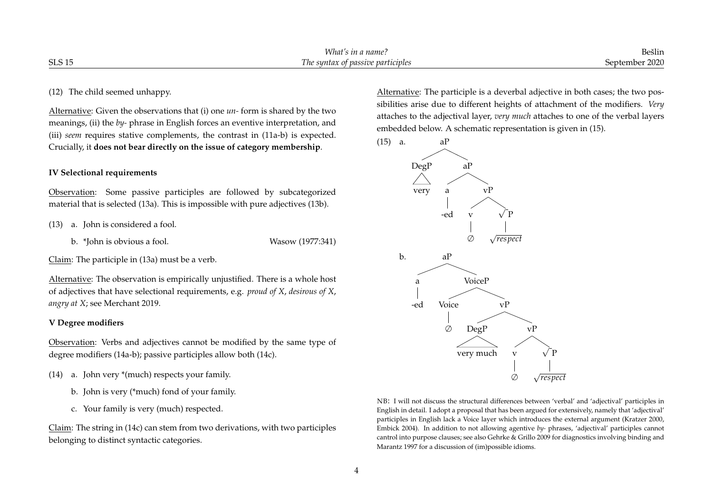| CTC1<br>$n_{\theta}$ |        | $What$ .<br><sup>.</sup> name<br>AA<br>,,,                         | Bešlin |
|----------------------|--------|--------------------------------------------------------------------|--------|
|                      | ንLS I: | re participles<br>ot passive<br>syntax<br>$\overline{\phantom{a}}$ | 2020   |

### (12) The child seemed unhappy.

Alternative: Given the observations that (i) one *un-* form is shared by the two meanings, (ii) the *by-* phrase in English forces an eventive interpretation, and (iii) *seem* requires stative complements, the contrast in (11a-b) is expected. Crucially, it **does not bear directly on the issue of category membership**.

### **IV Selectional requirements**

Observation: Some passive participles are followed by subcategorized material that is selected (13a). This is impossible with pure adjectives (13b).

- (13) a. John is considered a fool.
	- b. \*John is obvious a fool. Wasow (1977:341)

Claim: The participle in (13a) must be a verb.

Alternative: The observation is empirically unjustified. There is a whole host of adjectives that have selectional requirements, e.g. *proud of X*, *desirous of X*, *angry at X*; see Merchant 2019.

# **V Degree modifiers**

Observation: Verbs and adjectives cannot be modified by the same type of degree modifiers (14a-b); passive participles allow both (14c).

- (14) a. John very \*(much) respects your family.
	- b. John is very (\*much) fond of your family.
	- c. Your family is very (much) respected.

Claim: The string in (14c) can stem from two derivations, with two participles belonging to distinct syntactic categories.

Alternative: The participle is a deverbal adjective in both cases; the two possibilities arise due to different heights of attachment of the modifiers. *Very* attaches to the adjectival layer, *very much* attaches to one of the verbal layers embedded below. A schematic representation is given in (15).



NB: I will not discuss the structural differences between 'verbal' and 'adjectival' participles in English in detail. I adopt a proposal that has been argued for extensively, namely that 'adjectival' participles in English lack a Voice layer which introduces the external argument (Kratzer 2000, Embick 2004). In addition to not allowing agentive *by-* phrases, 'adjectival' participles cannot cantrol into purpose clauses; see also Gehrke & Grillo 2009 for diagnostics involving binding and Marantz 1997 for a discussion of (im)possible idioms.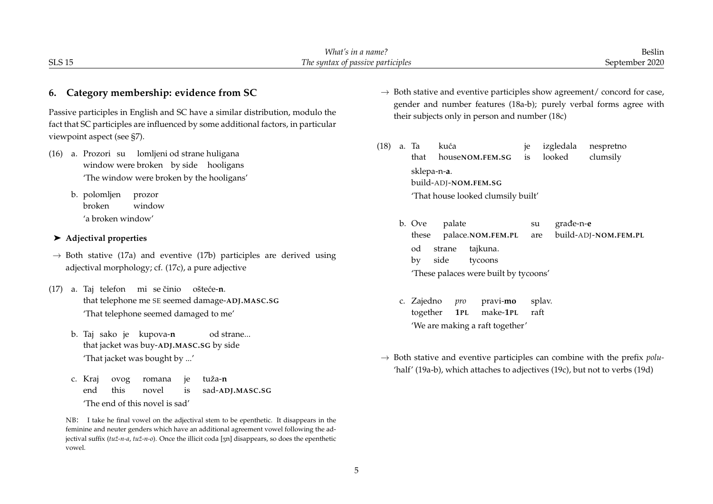|                                                                                                                                                                                                                                              | What's in a name?<br>Bešlin                                                                                                                                                                                   |
|----------------------------------------------------------------------------------------------------------------------------------------------------------------------------------------------------------------------------------------------|---------------------------------------------------------------------------------------------------------------------------------------------------------------------------------------------------------------|
| <b>SLS 15</b>                                                                                                                                                                                                                                | The syntax of passive participles<br>September 2020                                                                                                                                                           |
| 6. Category membership: evidence from SC<br>Passive participles in English and SC have a similar distribution, modulo the<br>fact that SC participles are influenced by some additional factors, in particular<br>viewpoint aspect (see §7). | $\rightarrow$ Both stative and eventive participles show agreement/ concord for case,<br>gender and number features (18a-b); purely verbal forms agree with<br>their subjects only in person and number (18c) |
| a. Prozori su lomljeni od strane huligana<br>(16)<br>window were broken by side hooligans<br>'The window were broken by the hooligans'<br>b. polomljen<br>prozor<br>broken<br>window                                                         | (18)<br>a. Ta<br>kuća<br>nespretno<br>izgledala<br>je<br>looked<br>clumsily<br>that<br>houseNOM.FEM.SG<br>is<br>sklepa-n-a.<br>build-ADJ-NOM.FEM.SG<br>'That house looked clumsily built'                     |
| 'a broken window'<br>$\blacktriangleright$ Adjectival properties<br>$\rightarrow$ Both stative (17a) and eventive (17b) participles are derived using<br>adjectival morphology; cf. (17c), a pure adjective                                  | b. Ove<br>palate<br>građe-n-e<br>su<br>build-ADJ-NOM.FEM.PL<br>these<br>palace.NOM.FEM.PL<br>are<br>tajkuna.<br>strane<br>od<br>side<br>tycoons<br>by<br>'These palaces were built by tycoons'                |
| a. Taj telefon mi se činio<br>(17)<br>ošteće- <b>n</b> .<br>that telephone me SE seemed damage-ADJ.MASC.SG<br>'That telephone seemed damaged to me'<br>b. Taj sako je kupova-n<br>od strane<br>that jacket was buy-ADJ.MASC.SG by side       | c. Zajedno<br>pro<br>pravi-mo<br>splav.<br>together<br>make-1PL<br>raft<br>1PL<br>'We are making a raft together'                                                                                             |
| 'That jacket was bought by '<br>tuža- <b>n</b><br>c. Kraj<br>je<br>ovog<br>romana                                                                                                                                                            | $\rightarrow$ Both stative and eventive participles can combine with the prefix polu-<br>'half' (19a-b), which attaches to adjectives (19c), but not to verbs (19d)                                           |

end

vowel.

this

novel

'The end of this novel is sad'

is

NB: I take he final vowel on the adjectival stem to be epenthetic. It disappears in the feminine and neuter genders which have an additional agreement vowel following the adjectival suffix (tuž-n-a, tuž-n-o). Once the illicit coda [3n] disappears, so does the epenthetic

sad-**ADJ.MASC.SG**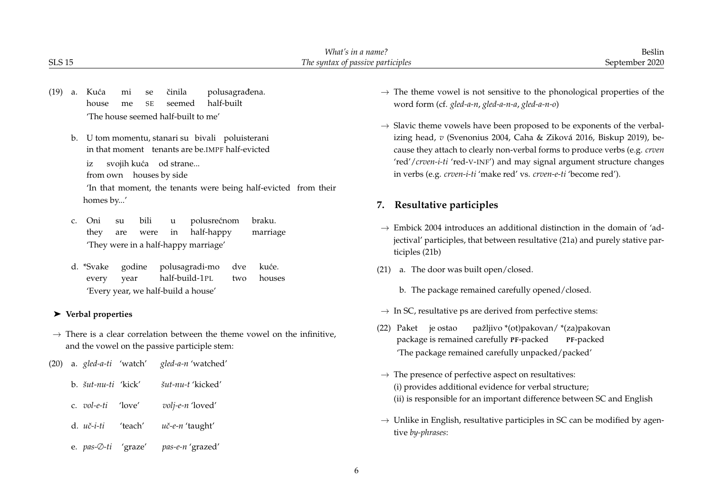|               |                                                                                                                                                                                                                                            | What's in a name?                                                                                                                                                                                                                                                                                                                    | Bešlin                                           |
|---------------|--------------------------------------------------------------------------------------------------------------------------------------------------------------------------------------------------------------------------------------------|--------------------------------------------------------------------------------------------------------------------------------------------------------------------------------------------------------------------------------------------------------------------------------------------------------------------------------------|--------------------------------------------------|
| <b>SLS 15</b> |                                                                                                                                                                                                                                            | The syntax of passive participles                                                                                                                                                                                                                                                                                                    | September 2020                                   |
| (19)<br>a.    | polusagrađena.<br>Kuća<br>činila<br>mi<br>se<br>half-built<br>house<br>seemed<br>me<br><b>SE</b><br>'The house seemed half-built to me'                                                                                                    | $\rightarrow$ The theme vowel is not sensitive to the phonological properties of the<br>word form (cf. gled-a-n, gled-a-n-a, gled-a-n-o)<br>$\rightarrow$ Slavic theme vowels have been proposed to be exponents of the verbal-                                                                                                      |                                                  |
| b.            | U tom momentu, stanari su bivali poluisterani<br>in that moment tenants are be.IMPF half-evicted<br>svojih kuća od strane<br>1Z<br>from own houses by side<br>'In that moment, the tenants were being half-evicted from their<br>homes by' | izing head, v (Svenonius 2004, Caha & Ziková 2016, Biskup 2019), be-<br>cause they attach to clearly non-verbal forms to produce verbs (e.g. crven<br>'red'/crven-i-ti 'red-V-INF') and may signal argument structure changes<br>in verbs (e.g. crven-i-ti 'make red' vs. crven-e-ti 'become red').<br>Resultative participles<br>7. |                                                  |
| C.            | bili<br>polusrećnom<br>braku.<br>Oni<br>su<br>u<br>half-happy<br>they<br>marriage<br>in<br>are<br>were<br>'They were in a half-happy marriage'                                                                                             | $\rightarrow$ Embick 2004 introduces an additional distinction in the domain of 'ad-<br>jectival' participles, that between resultative (21a) and purely stative par-<br>ticiples (21b)                                                                                                                                              |                                                  |
|               | d. *Svake<br>godine<br>polusagradi-mo<br>kuće.<br>dve<br>half-build-1PL<br>houses<br>year<br>every<br>two<br>'Every year, we half-build a house'                                                                                           | a. The door was built open/closed.<br>(21)<br>b. The package remained carefully opened/closed.                                                                                                                                                                                                                                       |                                                  |
|               | $\blacktriangleright$ Verbal properties                                                                                                                                                                                                    | $\rightarrow$ In SC, resultative ps are derived from perfective stems:                                                                                                                                                                                                                                                               |                                                  |
|               | $\rightarrow$ There is a clear correlation between the theme vowel on the infinitive,<br>and the vowel on the passive participle stem:                                                                                                     | (22) Paket je ostao<br>package is remained carefully PF-packed<br>'The package remained carefully unpacked/packed'                                                                                                                                                                                                                   | pažljivo *(ot)pakovan/ *(za)pakovan<br>PF-packed |
| (20)          | a. <i>gled-a-ti</i> 'watch'<br>gled-a-n 'watched'                                                                                                                                                                                          |                                                                                                                                                                                                                                                                                                                                      |                                                  |
|               | šut-nu-t 'kicked'<br>b. šut-nu-ti 'kick'<br>c. vol-e-ti<br>'love'<br>volj-e-n 'loved'                                                                                                                                                      | $\rightarrow$ The presence of perfective aspect on resultatives:<br>(i) provides additional evidence for verbal structure;<br>(ii) is responsible for an important difference between SC and English                                                                                                                                 |                                                  |
|               | d. uč-i-ti<br>'teach'<br>uč-e-n 'taught'                                                                                                                                                                                                   | $\rightarrow$ Unlike in English, resultative participles in SC can be modified by agen-<br>tive by-phrases:                                                                                                                                                                                                                          |                                                  |

e. *pas-*∅*-ti* 'graze' *pas-e-n* 'grazed'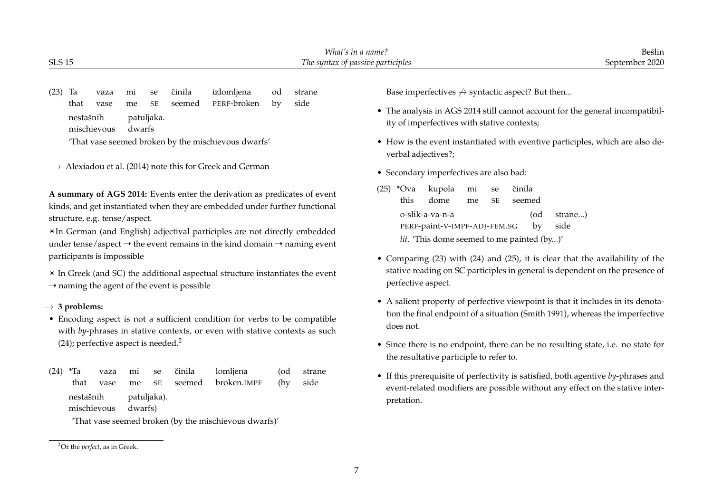| SLS 15    |         |    |           |           |                     |    |        | What's in a name?<br>The syntax of passive participles                                | Bešlin<br>September 2020 |
|-----------|---------|----|-----------|-----------|---------------------|----|--------|---------------------------------------------------------------------------------------|--------------------------|
|           |         |    |           |           |                     |    |        |                                                                                       |                          |
| $(23)$ Ta | vaza mi |    | $\sim$ se | činila    | izlomliena          | od | strane | Base imperfectives $\leftrightarrow$ syntactic aspect? But then                       |                          |
| that      | vase    | me |           | SE seemed | PERF <b>-broken</b> | hv | side   | $\bullet$ The analysis in ACS 2014 still cannot account for the general incompatibil- |                          |

nestašnih patuljaka.

mischievous dwarfs

'That vase seemed broken by the mischievous dwarfs'

 $\rightarrow$  Alexiadou et al. (2014) note this for Greek and German

**A summary of AGS 2014:** Events enter the derivation as predicates of event kinds, and get instantiated when they are embedded under further functional structure, e.g. tense/aspect.

✴In German (and English) adjectival participles are not directly embedded under tense/aspect  $\rightarrow$  the event remains in the kind domain  $\rightarrow$  naming event participants is impossible

✴ In Greek (and SC) the additional aspectual structure instantiates the event  $\rightarrow$  naming the agent of the event is possible

# → **3 problems:**

- Encoding aspect is not a sufficient condition for verbs to be compatible with *by*-phrases in stative contexts, or even with stative contexts as such  $(24)$ ; perfective aspect is needed.<sup>2</sup>
- (24) \*Ta that vaza vase mi me se SE činila seemed lomljena broken.IMPF (od (by strane side nestašnih mischievous patuljaka). dwarfs)

'That vase seemed broken (by the mischievous dwarfs)'

- $\cdot$  analysis in AGS 2014 still cannot account for the general incompatibil ity of imperfectives with stative contexts;
- How is the event instantiated with eventive participles, which are also deverbal adjectives?;
- Secondary imperfectives are also bad:
- $(25)$  \*Ova this kupola dome mi me se SE ˇcinila seemed o-slik-a-va-n-a PERF-paint-V-IMPF-ADJ-FEM.SG (od by strane...) side *lit.* 'This dome seemed to me painted (by...)'
- Comparing (23) with (24) and (25), it is clear that the availability of the stative reading on SC participles in general is dependent on the presence of perfective aspect.
- A salient property of perfective viewpoint is that it includes in its denotation the final endpoint of a situation (Smith 1991), whereas the imperfective does not.
- Since there is no endpoint, there can be no resulting state, i.e. no state for the resultative participle to refer to.
- If this prerequisite of perfectivity is satisfied, both agentive *by-*phrases and event-related modifiers are possible without any effect on the stative interpretation.

<sup>2</sup>Or the *perfect*, as in Greek.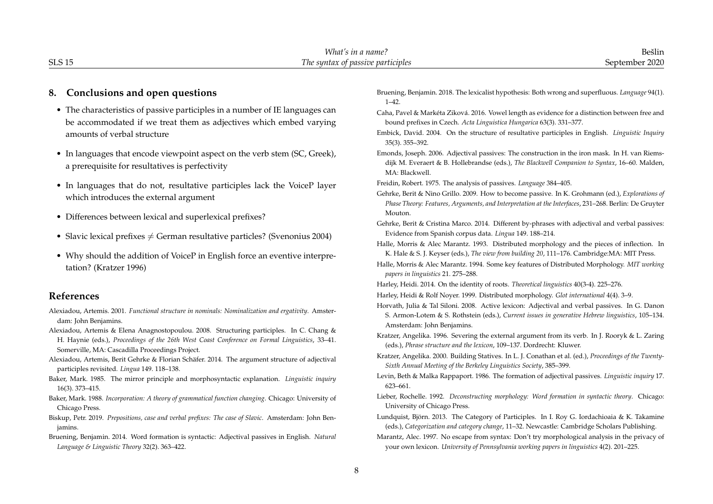|               | <b>TATL</b><br>name<br>ın<br>. vnat | $\sim$ 1 $\cdot$<br>n.<br>Beslir<br>$\begin{array}{c} \multicolumn{3}{c} {\begin{array}{c} \multicolumn{3}{c} {\color{black}} \multicolumn{3}{c} {\color{black}} \multicolumn{3}{c} {\color{black}} \multicolumn{3}{c} {\color{black}} \multicolumn{3}{c} {\color{black}} \multicolumn{3}{c} {\color{black}} \multicolumn{3}{c} {\color{black}} \multicolumn{3}{c} {\color{black}} \multicolumn{3}{c} {\color{black}} \multicolumn{3}{c} {\color{black}} \multicolumn{3}{c} {\color{black}} \multicolumn{3}{c} {\color{black}} \multicolumn{3}{c} {\color{black}} \multicolumn{3}{c} {\color{black}} \$ |
|---------------|-------------------------------------|---------------------------------------------------------------------------------------------------------------------------------------------------------------------------------------------------------------------------------------------------------------------------------------------------------------------------------------------------------------------------------------------------------------------------------------------------------------------------------------------------------------------------------------------------------------------------------------------------------|
| <b>SLS 15</b> | :wwles<br>ı ne<br>sunta<br>nassız   | ∩ר∩ר<br>emr                                                                                                                                                                                                                                                                                                                                                                                                                                                                                                                                                                                             |
|               |                                     |                                                                                                                                                                                                                                                                                                                                                                                                                                                                                                                                                                                                         |

# **8. Conclusions and open questions**

- The characteristics of passive participles in a number of IE languages can be accommodated if we treat them as adjectives which embed varying amounts of verbal structure
- In languages that encode viewpoint aspect on the verb stem (SC, Greek), a prerequisite for resultatives is perfectivity
- In languages that do not, resultative participles lack the VoiceP layer which introduces the external argument
- Differences between lexical and superlexical prefixes?
- Slavic lexical prefixes  $\neq$  German resultative particles? (Svenonius 2004)
- Why should the addition of VoiceP in English force an eventive interpretation? (Kratzer 1996)

### **References**

- Alexiadou, Artemis. 2001. *Functional structure in nominals: Nominalization and ergativity*. Amsterdam: John Benjamins.
- Alexiadou, Artemis & Elena Anagnostopoulou. 2008. Structuring participles. In C. Chang & H. Haynie (eds.), *Proceedings of the 26th West Coast Conference on Formal Linguistics*, 33–41. Somerville, MA: Cascadilla Proceedings Project.
- Alexiadou, Artemis, Berit Gehrke & Florian Schäfer. 2014. The argument structure of adjectival participles revisited. *Lingua* 149. 118–138.
- Baker, Mark. 1985. The mirror principle and morphosyntactic explanation. *Linguistic inquiry* 16(3). 373–415.
- Baker, Mark. 1988. *Incorporation: A theory of grammatical function changing*. Chicago: University of Chicago Press.
- Biskup, Petr. 2019. *Prepositions, case and verbal prefixes: The case of Slavic*. Amsterdam: John Benjamins.
- Bruening, Benjamin. 2014. Word formation is syntactic: Adjectival passives in English. *Natural Language & Linguistic Theory* 32(2). 363–422.
- Bruening, Benjamin. 2018. The lexicalist hypothesis: Both wrong and superfluous. *Language* 94(1). 1–42.
- Caha, Pavel & Markéta Ziková. 2016. Vowel length as evidence for a distinction between free and bound prefixes in Czech. *Acta Linguistica Hungarica* 63(3). 331–377.
- Embick, David. 2004. On the structure of resultative participles in English. *Linguistic Inquiry* 35(3). 355–392.
- Emonds, Joseph. 2006. Adjectival passives: The construction in the iron mask. In H. van Riemsdijk M. Everaert & B. Hollebrandse (eds.), *The Blackwell Companion to Syntax*, 16–60. Malden, MA: Blackwell.
- Freidin, Robert. 1975. The analysis of passives. *Language* 384–405.
- Gehrke, Berit & Nino Grillo. 2009. How to become passive. In K. Grohmann (ed.), *Explorations of Phase Theory: Features, Arguments, and Interpretation at the Interfaces*, 231–268. Berlin: De Gruyter Mouton.
- Gehrke, Berit & Cristina Marco. 2014. Different by-phrases with adjectival and verbal passives: Evidence from Spanish corpus data. *Lingua* 149. 188–214.
- Halle, Morris & Alec Marantz. 1993. Distributed morphology and the pieces of inflection. In K. Hale & S. J. Keyser (eds.), *The view from building 20*, 111–176. Cambridge:MA: MIT Press.
- Halle, Morris & Alec Marantz. 1994. Some key features of Distributed Morphology. *MIT working papers in linguistics* 21. 275–288.
- Harley, Heidi. 2014. On the identity of roots. *Theoretical linguistics* 40(3-4). 225–276.
- Harley, Heidi & Rolf Noyer. 1999. Distributed morphology. *Glot international* 4(4). 3–9.
- Horvath, Julia & Tal Siloni. 2008. Active lexicon: Adjectival and verbal passives. In G. Danon S. Armon-Lotem & S. Rothstein (eds.), *Current issues in generative Hebrew linguistics*, 105–134. Amsterdam: John Benjamins.
- Kratzer, Angelika. 1996. Severing the external argument from its verb. In J. Rooryk & L. Zaring (eds.), *Phrase structure and the lexicon*, 109–137. Dordrecht: Kluwer.
- Kratzer, Angelika. 2000. Building Statives. In L. J. Conathan et al. (ed.), *Proceedings of the Twenty-Sixth Annual Meeting of the Berkeley Linguistics Society*, 385–399.
- Levin, Beth & Malka Rappaport. 1986. The formation of adjectival passives. *Linguistic inquiry* 17. 623–661.
- Lieber, Rochelle. 1992. *Deconstructing morphology: Word formation in syntactic theory*. Chicago: University of Chicago Press.
- Lundquist, Björn. 2013. The Category of Participles. In I. Roy G. Iordachioaia & K. Takamine (eds.), *Categorization and category change*, 11–32. Newcastle: Cambridge Scholars Publishing.
- Marantz, Alec. 1997. No escape from syntax: Don't try morphological analysis in the privacy of your own lexicon. *University of Pennsylvania working papers in linguistics* 4(2). 201–225.